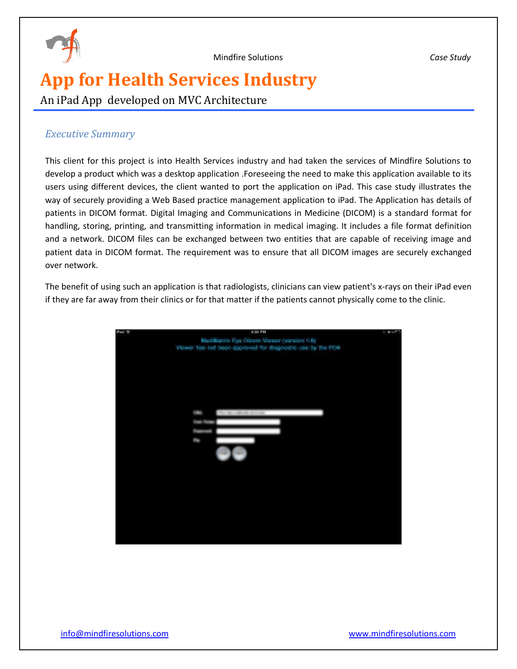

# **App for Health Services Industry**

An iPad App developed on MVC Architecture

## *Executive Summary*

This client for this project is into Health Services industry and had taken the services of Mindfire Solutions to develop a product which was a desktop application .Foreseeing the need to make this application available to its users using different devices, the client wanted to port the application on iPad. This case study illustrates the way of securely providing a Web Based practice management application to iPad. The Application has details of patients in DICOM format. Digital Imaging and Communications in Medicine (DICOM) is a standard format for handling, storing, printing, and transmitting information in medical imaging. It includes a file format definition and a network. DICOM files can be exchanged between two entities that are capable of receiving image and patient data in DICOM format. The requirement was to ensure that all DICOM images are securely exchanged over network.

The benefit of using such an application is that radiologists, clinicians can view patient's x-rays on their iPad even if they are far away from their clinics or for that matter if the patients cannot physically come to the clinic.

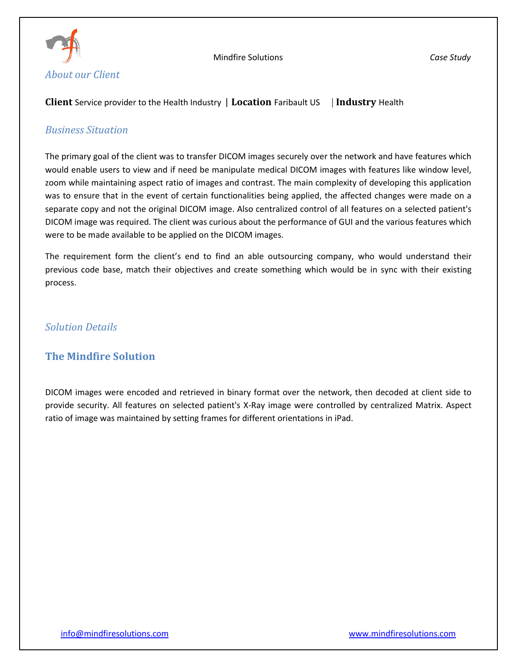

#### **Client** Service provider to the Health Industry | **Location** Faribault US| **Industry** Health

#### *Business Situation*

The primary goal of the client was to transfer DICOM images securely over the network and have features which would enable users to view and if need be manipulate medical DICOM images with features like window level, zoom while maintaining aspect ratio of images and contrast. The main complexity of developing this application was to ensure that in the event of certain functionalities being applied, the affected changes were made on a separate copy and not the original DICOM image. Also centralized control of all features on a selected patient's DICOM image was required. The client was curious about the performance of GUI and the various features which were to be made available to be applied on the DICOM images.

The requirement form the client's end to find an able outsourcing company, who would understand their previous code base, match their objectives and create something which would be in sync with their existing process.

## *Solution Details*

## **The Mindfire Solution**

DICOM images were encoded and retrieved in binary format over the network, then decoded at client side to provide security. All features on selected patient's X-Ray image were controlled by centralized Matrix. Aspect ratio of image was maintained by setting frames for different orientations in iPad.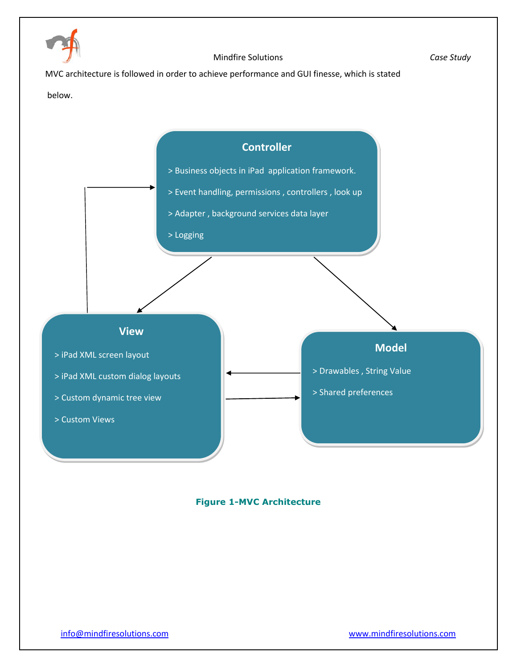

MVC architecture is followed in order to achieve performance and GUI finesse, which is stated

#### below.



#### **Figure 1-MVC Architecture**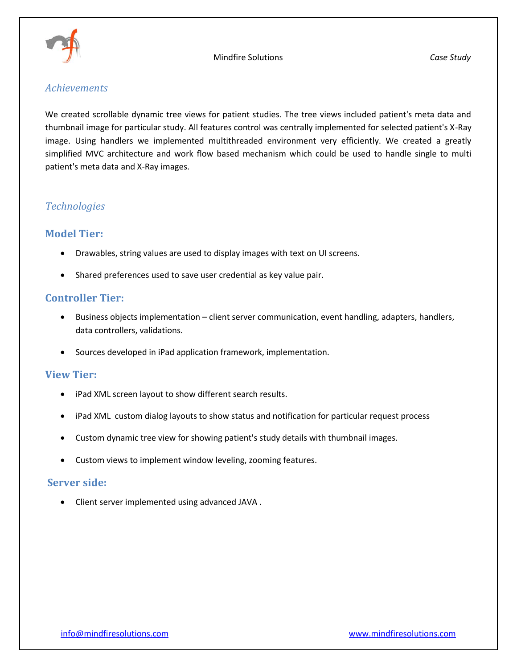

#### *Achievements*

We created scrollable dynamic tree views for patient studies. The tree views included patient's meta data and thumbnail image for particular study. All features control was centrally implemented for selected patient's X-Ray image. Using handlers we implemented multithreaded environment very efficiently. We created a greatly simplified MVC architecture and work flow based mechanism which could be used to handle single to multi patient's meta data and X-Ray images.

## *Technologies*

## **Model Tier:**

- Drawables, string values are used to display images with text on UI screens.
- Shared preferences used to save user credential as key value pair.

#### **Controller Tier:**

- Business objects implementation client server communication, event handling, adapters, handlers, data controllers, validations.
- Sources developed in iPad application framework, implementation.

#### **View Tier:**

- iPad XML screen layout to show different search results.
- iPad XML custom dialog layouts to show status and notification for particular request process
- Custom dynamic tree view for showing patient's study details with thumbnail images.
- Custom views to implement window leveling, zooming features.

#### **Server side:**

Client server implemented using advanced JAVA .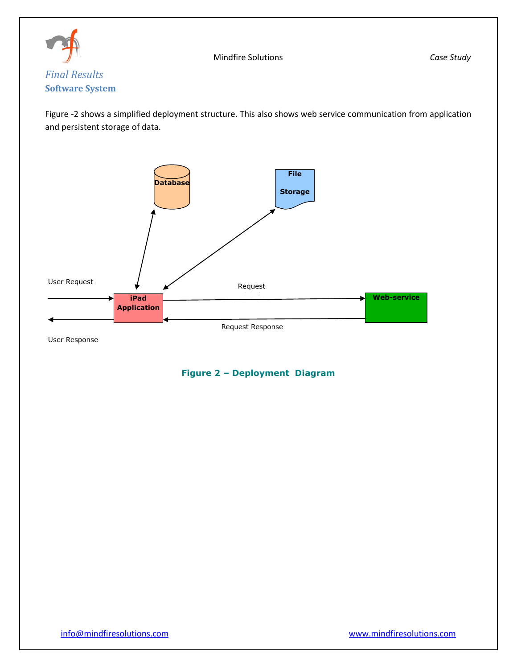

## Figure -2 shows a simplified deployment structure. This also shows web service communication from application and persistent storage of data.



User Response

## **Figure 2 – Deployment Diagram**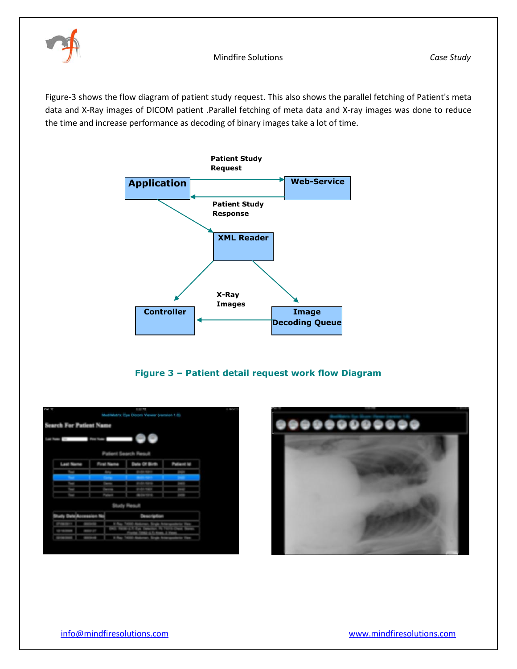

Figure-3 shows the flow diagram of patient study request. This also shows the parallel fetching of Patient's meta data and X-Ray images of DICOM patient .Parallel fetching of meta data and X-ray images was done to reduce the time and increase performance as decoding of binary images take a lot of time.



**Figure 3 – Patient detail request work flow Diagram**

|                | <b>Search For Patient Name</b> |  |                        |  |
|----------------|--------------------------------|--|------------------------|--|
|                |                                |  |                        |  |
|                |                                |  |                        |  |
|                |                                |  |                        |  |
| ــ             |                                |  | <b>Section Section</b> |  |
| <b>Seattle</b> |                                |  |                        |  |
|                |                                |  |                        |  |
| $\sim$         |                                |  |                        |  |
|                |                                |  |                        |  |
|                |                                |  |                        |  |
|                |                                |  |                        |  |
|                |                                |  |                        |  |
|                |                                |  |                        |  |